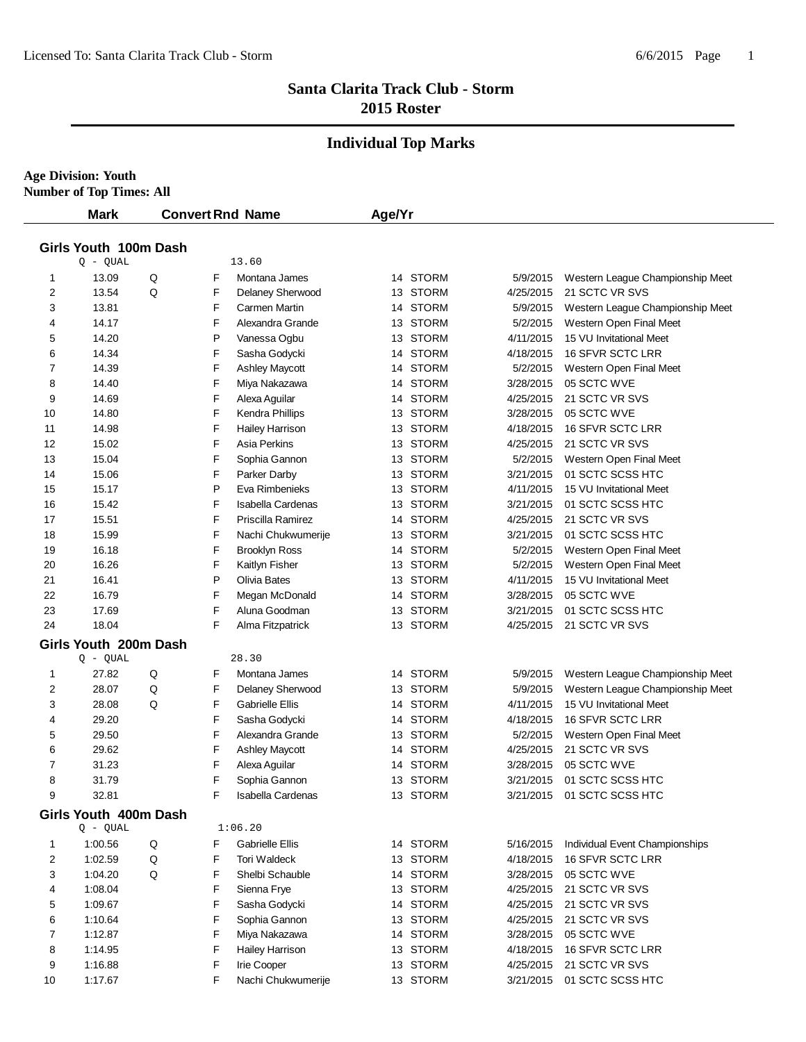# **Individual Top Marks**

**Age Division: Youth Number of Top Times: All**

|                       | <b>Mark</b>           | <b>Convert Rnd Name</b> |   |                          | Age/Yr |          |           |                                  |  |  |
|-----------------------|-----------------------|-------------------------|---|--------------------------|--------|----------|-----------|----------------------------------|--|--|
| Girls Youth 100m Dash |                       |                         |   |                          |        |          |           |                                  |  |  |
|                       | $Q - QUAL$            |                         |   | 13.60                    |        |          |           |                                  |  |  |
| 1                     | 13.09                 | Q                       | F | Montana James            |        | 14 STORM | 5/9/2015  | Western League Championship Meet |  |  |
| 2                     | 13.54                 | Q                       | F | Delaney Sherwood         |        | 13 STORM | 4/25/2015 | 21 SCTC VR SVS                   |  |  |
| 3                     | 13.81                 |                         | F | Carmen Martin            |        | 14 STORM | 5/9/2015  | Western League Championship Meet |  |  |
| 4                     | 14.17                 |                         | F | Alexandra Grande         |        | 13 STORM | 5/2/2015  | Western Open Final Meet          |  |  |
| 5                     | 14.20                 |                         | Ρ | Vanessa Ogbu             |        | 13 STORM | 4/11/2015 | 15 VU Invitational Meet          |  |  |
| 6                     | 14.34                 |                         | F | Sasha Godycki            |        | 14 STORM | 4/18/2015 | 16 SFVR SCTC LRR                 |  |  |
| 7                     | 14.39                 |                         | F | <b>Ashley Maycott</b>    |        | 14 STORM | 5/2/2015  | Western Open Final Meet          |  |  |
| 8                     | 14.40                 |                         | F | Miya Nakazawa            |        | 14 STORM | 3/28/2015 | 05 SCTC WVE                      |  |  |
| 9                     | 14.69                 |                         | F | Alexa Aguilar            |        | 14 STORM | 4/25/2015 | 21 SCTC VR SVS                   |  |  |
| 10                    | 14.80                 |                         | F | Kendra Phillips          |        | 13 STORM | 3/28/2015 | 05 SCTC WVE                      |  |  |
| 11                    | 14.98                 |                         | F | Hailey Harrison          |        | 13 STORM | 4/18/2015 | 16 SFVR SCTC LRR                 |  |  |
| 12                    | 15.02                 |                         | F | Asia Perkins             |        | 13 STORM | 4/25/2015 | 21 SCTC VR SVS                   |  |  |
| 13                    | 15.04                 |                         | F | Sophia Gannon            |        | 13 STORM | 5/2/2015  | Western Open Final Meet          |  |  |
| 14                    | 15.06                 |                         | F | Parker Darby             |        | 13 STORM | 3/21/2015 | 01 SCTC SCSS HTC                 |  |  |
| 15                    | 15.17                 |                         | Ρ | Eva Rimbenieks           |        | 13 STORM | 4/11/2015 | 15 VU Invitational Meet          |  |  |
| 16                    | 15.42                 |                         | F | <b>Isabella Cardenas</b> |        | 13 STORM | 3/21/2015 | 01 SCTC SCSS HTC                 |  |  |
| 17                    | 15.51                 |                         | F | Priscilla Ramirez        |        | 14 STORM | 4/25/2015 | 21 SCTC VR SVS                   |  |  |
| 18                    | 15.99                 |                         | F | Nachi Chukwumerije       |        | 13 STORM | 3/21/2015 | 01 SCTC SCSS HTC                 |  |  |
| 19                    | 16.18                 |                         | F | <b>Brooklyn Ross</b>     |        | 14 STORM | 5/2/2015  | Western Open Final Meet          |  |  |
| 20                    | 16.26                 |                         | F | Kaitlyn Fisher           |        | 13 STORM | 5/2/2015  | Western Open Final Meet          |  |  |
| 21                    | 16.41                 |                         | P | Olivia Bates             |        | 13 STORM | 4/11/2015 | 15 VU Invitational Meet          |  |  |
| 22                    | 16.79                 |                         | F | Megan McDonald           |        | 14 STORM | 3/28/2015 | 05 SCTC WVE                      |  |  |
| 23                    | 17.69                 |                         | F | Aluna Goodman            |        | 13 STORM | 3/21/2015 | 01 SCTC SCSS HTC                 |  |  |
| 24                    | 18.04                 |                         | F | Alma Fitzpatrick         |        | 13 STORM | 4/25/2015 | 21 SCTC VR SVS                   |  |  |
|                       | Girls Youth 200m Dash |                         |   |                          |        |          |           |                                  |  |  |
|                       | $Q - QUAL$            |                         |   | 28.30                    |        |          |           |                                  |  |  |
| 1                     | 27.82                 | Q                       | F | Montana James            |        | 14 STORM | 5/9/2015  | Western League Championship Meet |  |  |
| 2                     | 28.07                 | Q                       | F | Delaney Sherwood         |        | 13 STORM | 5/9/2015  | Western League Championship Meet |  |  |
| 3                     | 28.08                 | Q                       | F | <b>Gabrielle Ellis</b>   |        | 14 STORM | 4/11/2015 | 15 VU Invitational Meet          |  |  |
| 4                     | 29.20                 |                         | F | Sasha Godycki            |        | 14 STORM | 4/18/2015 | 16 SFVR SCTC LRR                 |  |  |
| 5                     | 29.50                 |                         | F | Alexandra Grande         |        | 13 STORM | 5/2/2015  | Western Open Final Meet          |  |  |
| 6                     | 29.62                 |                         | F | <b>Ashley Maycott</b>    |        | 14 STORM | 4/25/2015 | 21 SCTC VR SVS                   |  |  |
| 7                     | 31.23                 |                         | F | Alexa Aguilar            |        | 14 STORM | 3/28/2015 | 05 SCTC WVE                      |  |  |
| 8                     | 31.79                 |                         | F | Sophia Gannon            |        | 13 STORM | 3/21/2015 | 01 SCTC SCSS HTC                 |  |  |
| 9                     | 32.81                 |                         | F | Isabella Cardenas        |        | 13 STORM |           | 3/21/2015 01 SCTC SCSS HTC       |  |  |
|                       | Girls Youth 400m Dash |                         |   |                          |        |          |           |                                  |  |  |
|                       | $Q - QUAL$            |                         |   | 1:06.20                  |        |          |           |                                  |  |  |
| 1                     | 1:00.56               | Q                       | F | <b>Gabrielle Ellis</b>   |        | 14 STORM | 5/16/2015 | Individual Event Championships   |  |  |
| 2                     | 1:02.59               | Q                       | F | Tori Waldeck             |        | 13 STORM | 4/18/2015 | 16 SFVR SCTC LRR                 |  |  |
| 3                     | 1:04.20               | Q                       | F | Shelbi Schauble          |        | 14 STORM | 3/28/2015 | 05 SCTC WVE                      |  |  |
| 4                     | 1:08.04               |                         | F | Sienna Frye              |        | 13 STORM | 4/25/2015 | 21 SCTC VR SVS                   |  |  |
| 5                     | 1:09.67               |                         | F | Sasha Godycki            |        | 14 STORM | 4/25/2015 | 21 SCTC VR SVS                   |  |  |
| 6                     | 1:10.64               |                         | F | Sophia Gannon            |        | 13 STORM | 4/25/2015 | 21 SCTC VR SVS                   |  |  |
| 7                     | 1:12.87               |                         | F | Miya Nakazawa            |        | 14 STORM | 3/28/2015 | 05 SCTC WVE                      |  |  |
| 8                     | 1:14.95               |                         | F | Hailey Harrison          |        | 13 STORM | 4/18/2015 | 16 SFVR SCTC LRR                 |  |  |
| 9                     | 1:16.88               |                         | F | <b>Irie Cooper</b>       |        | 13 STORM | 4/25/2015 | 21 SCTC VR SVS                   |  |  |
| 10                    | 1:17.67               |                         | F | Nachi Chukwumerije       |        | 13 STORM | 3/21/2015 | 01 SCTC SCSS HTC                 |  |  |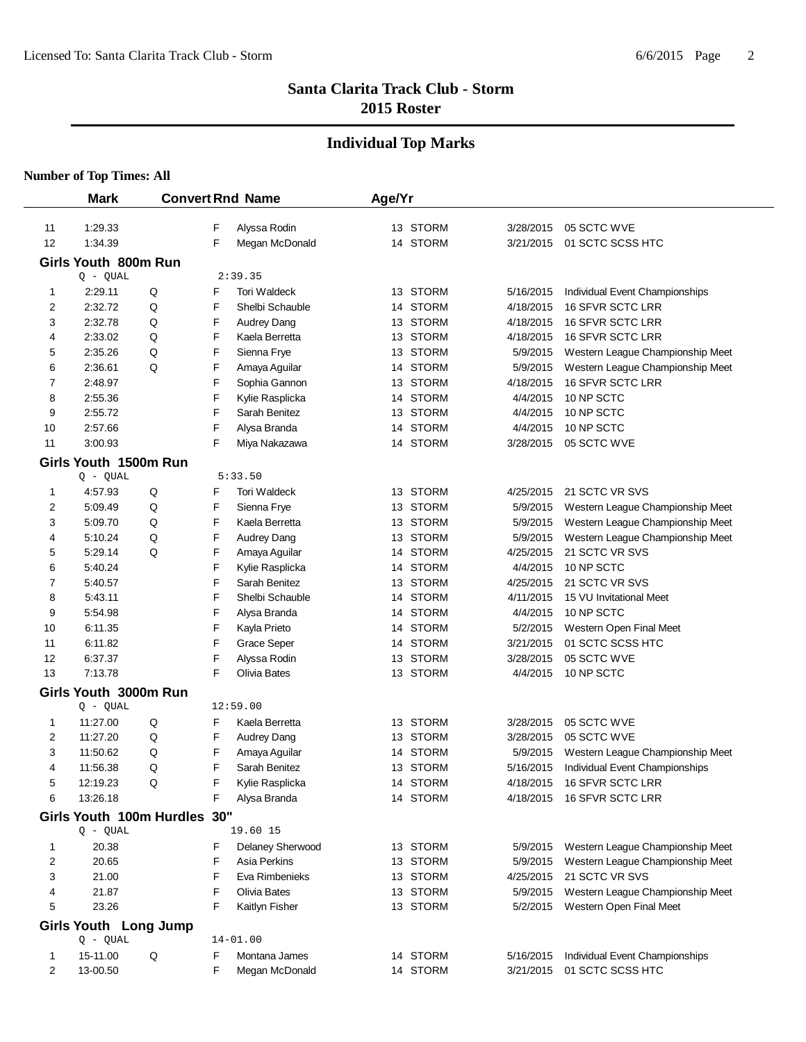# **Individual Top Marks**

|    | <b>Mark</b>                  |   |   | <b>Convert Rnd Name</b> | Age/Yr |          |           |                                           |
|----|------------------------------|---|---|-------------------------|--------|----------|-----------|-------------------------------------------|
|    |                              |   |   |                         |        |          |           |                                           |
| 11 | 1:29.33                      |   | F | Alyssa Rodin            |        | 13 STORM | 3/28/2015 | 05 SCTC WVE                               |
| 12 | 1:34.39                      |   | F | Megan McDonald          |        | 14 STORM | 3/21/2015 | 01 SCTC SCSS HTC                          |
|    | Girls Youth 800m Run         |   |   |                         |        |          |           |                                           |
|    | $Q - QUAL$                   |   |   | 2:39.35                 |        |          |           |                                           |
| 1  | 2:29.11                      | Q | F | Tori Waldeck            |        | 13 STORM | 5/16/2015 | Individual Event Championships            |
| 2  | 2:32.72                      | Q | F | Shelbi Schauble         |        | 14 STORM | 4/18/2015 | 16 SFVR SCTC LRR                          |
| 3  | 2:32.78                      | Q | F | Audrey Dang             |        | 13 STORM | 4/18/2015 | 16 SFVR SCTC LRR                          |
| 4  | 2:33.02                      | Q | F | Kaela Berretta          |        | 13 STORM | 4/18/2015 | 16 SFVR SCTC LRR                          |
| 5  | 2:35.26                      | Q | F | Sienna Frye             |        | 13 STORM | 5/9/2015  | Western League Championship Meet          |
| 6  | 2:36.61                      | Q | F | Amaya Aguilar           |        | 14 STORM | 5/9/2015  | Western League Championship Meet          |
| 7  | 2:48.97                      |   | F | Sophia Gannon           |        | 13 STORM | 4/18/2015 | <b>16 SFVR SCTC LRR</b>                   |
| 8  | 2:55.36                      |   | F | Kylie Rasplicka         |        | 14 STORM | 4/4/2015  | 10 NP SCTC                                |
| 9  | 2:55.72                      |   | F | Sarah Benitez           |        | 13 STORM | 4/4/2015  | 10 NP SCTC                                |
| 10 | 2:57.66                      |   | F | Alysa Branda            |        | 14 STORM | 4/4/2015  | 10 NP SCTC                                |
| 11 | 3:00.93                      |   | F | Miya Nakazawa           |        | 14 STORM | 3/28/2015 | 05 SCTC WVE                               |
|    | Girls Youth 1500m Run        |   |   |                         |        |          |           |                                           |
|    | $Q - QUAL$                   |   |   | 5:33.50                 |        |          |           |                                           |
| 1  | 4:57.93                      | Q | F | Tori Waldeck            |        | 13 STORM | 4/25/2015 | 21 SCTC VR SVS                            |
| 2  | 5:09.49                      | Q | F | Sienna Frye             |        | 13 STORM | 5/9/2015  | Western League Championship Meet          |
| 3  | 5:09.70                      | Q | F | Kaela Berretta          |        | 13 STORM | 5/9/2015  | Western League Championship Meet          |
| 4  | 5:10.24                      | Q | F | Audrey Dang             |        | 13 STORM | 5/9/2015  | Western League Championship Meet          |
| 5  | 5:29.14                      | Q | F | Amaya Aguilar           |        | 14 STORM | 4/25/2015 | 21 SCTC VR SVS                            |
| 6  | 5:40.24                      |   | F | Kylie Rasplicka         |        | 14 STORM | 4/4/2015  | 10 NP SCTC                                |
| 7  | 5:40.57                      |   | F | Sarah Benitez           |        | 13 STORM | 4/25/2015 | 21 SCTC VR SVS                            |
| 8  | 5:43.11                      |   | F | Shelbi Schauble         |        | 14 STORM | 4/11/2015 | 15 VU Invitational Meet                   |
| 9  | 5:54.98                      |   | F | Alysa Branda            |        | 14 STORM | 4/4/2015  | 10 NP SCTC                                |
| 10 | 6:11.35                      |   | F | Kayla Prieto            |        | 14 STORM | 5/2/2015  | Western Open Final Meet                   |
| 11 | 6:11.82                      |   | F | <b>Grace Seper</b>      |        | 14 STORM | 3/21/2015 | 01 SCTC SCSS HTC                          |
| 12 | 6:37.37                      |   | F | Alyssa Rodin            |        | 13 STORM | 3/28/2015 | 05 SCTC WVE                               |
| 13 | 7:13.78                      |   | F | Olivia Bates            |        | 13 STORM | 4/4/2015  | 10 NP SCTC                                |
|    | Girls Youth 3000m Run        |   |   |                         |        |          |           |                                           |
|    | $Q - QUAL$                   |   |   | 12:59.00                |        |          |           |                                           |
| 1  | 11:27.00                     | Q | F | Kaela Berretta          |        | 13 STORM | 3/28/2015 | 05 SCTC WVE                               |
| 2  | 11:27.20                     | Q | F | Audrey Dang             |        | 13 STORM | 3/28/2015 | 05 SCTC WVE                               |
| 3  | 11:50.62                     | Q | F | Amaya Aguilar           |        | 14 STORM | 5/9/2015  | Western League Championship Meet          |
| 4  | 11:56.38                     | Q | F | Sarah Benitez           |        | 13 STORM | 5/16/2015 | Individual Event Championships            |
| 5  | 12:19.23                     | Q | F | Kylie Rasplicka         |        | 14 STORM |           | 4/18/2015 16 SFVR SCTC LRR                |
| 6  | 13:26.18                     |   | F | Alysa Branda            |        | 14 STORM |           | 4/18/2015 16 SFVR SCTC LRR                |
|    | Girls Youth 100m Hurdles 30" |   |   |                         |        |          |           |                                           |
|    | $Q - QUAL$                   |   |   | 19.60 15                |        |          |           |                                           |
| 1  | 20.38                        |   | F | Delaney Sherwood        |        | 13 STORM |           | 5/9/2015 Western League Championship Meet |
| 2  | 20.65                        |   | F | Asia Perkins            |        | 13 STORM | 5/9/2015  | Western League Championship Meet          |
| 3  | 21.00                        |   | F | Eva Rimbenieks          |        | 13 STORM | 4/25/2015 | 21 SCTC VR SVS                            |
| 4  | 21.87                        |   | F | Olivia Bates            |        | 13 STORM | 5/9/2015  | Western League Championship Meet          |
| 5  | 23.26                        |   | F | Kaitlyn Fisher          |        | 13 STORM |           | 5/2/2015 Western Open Final Meet          |
|    | Girls Youth Long Jump        |   |   |                         |        |          |           |                                           |
|    | $Q - QUAL$                   |   |   | $14 - 01.00$            |        |          |           |                                           |
| 1  | 15-11.00                     | Q | F | Montana James           |        | 14 STORM |           | 5/16/2015 Individual Event Championships  |
| 2  | 13-00.50                     |   | F | Megan McDonald          |        | 14 STORM |           | 3/21/2015 01 SCTC SCSS HTC                |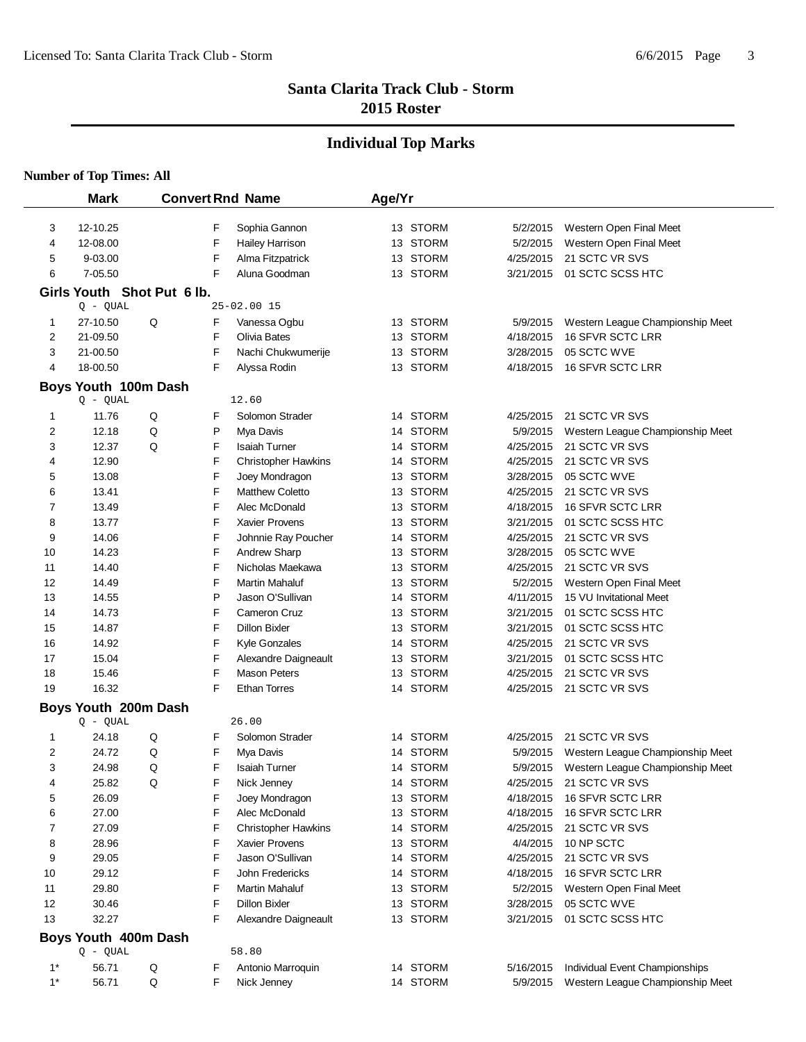#### **Individual Top Marks**

|       | <b>Mark</b>                |   |   | <b>Convert Rnd Name</b>    | Age/Yr |          |           |                                           |
|-------|----------------------------|---|---|----------------------------|--------|----------|-----------|-------------------------------------------|
|       |                            |   |   |                            |        |          |           |                                           |
| 3     | 12-10.25                   |   | F | Sophia Gannon              |        | 13 STORM | 5/2/2015  | Western Open Final Meet                   |
| 4     | 12-08.00                   |   | F | Hailey Harrison            |        | 13 STORM | 5/2/2015  | Western Open Final Meet                   |
| 5     | 9-03.00                    |   | F | Alma Fitzpatrick           |        | 13 STORM | 4/25/2015 | 21 SCTC VR SVS                            |
| 6     | 7-05.50                    |   | F | Aluna Goodman              |        | 13 STORM | 3/21/2015 | 01 SCTC SCSS HTC                          |
|       | Girls Youth Shot Put 6 lb. |   |   |                            |        |          |           |                                           |
|       | $Q - QUAL$                 |   |   | 25-02.00 15                |        |          |           |                                           |
| 1     | 27-10.50                   | Q | F | Vanessa Ogbu               |        | 13 STORM | 5/9/2015  | Western League Championship Meet          |
| 2     | 21-09.50                   |   | F | Olivia Bates               |        | 13 STORM | 4/18/2015 | 16 SFVR SCTC LRR                          |
| 3     | 21-00.50                   |   | F | Nachi Chukwumerije         |        | 13 STORM | 3/28/2015 | 05 SCTC WVE                               |
| 4     | 18-00.50                   |   | F | Alyssa Rodin               |        | 13 STORM | 4/18/2015 | <b>16 SFVR SCTC LRR</b>                   |
|       | Boys Youth 100m Dash       |   |   |                            |        |          |           |                                           |
|       | $Q - QUAL$                 |   |   | 12.60                      |        |          |           |                                           |
| 1     | 11.76                      | Q | F | Solomon Strader            |        | 14 STORM | 4/25/2015 | 21 SCTC VR SVS                            |
| 2     | 12.18                      | Q | P | Mya Davis                  |        | 14 STORM | 5/9/2015  | Western League Championship Meet          |
| 3     | 12.37                      | Q | F | <b>Isaiah Turner</b>       |        | 14 STORM | 4/25/2015 | 21 SCTC VR SVS                            |
| 4     | 12.90                      |   | F | <b>Christopher Hawkins</b> |        | 14 STORM | 4/25/2015 | 21 SCTC VR SVS                            |
| 5     | 13.08                      |   | F | Joey Mondragon             |        | 13 STORM | 3/28/2015 | 05 SCTC WVE                               |
| 6     | 13.41                      |   | F | <b>Matthew Coletto</b>     |        | 13 STORM | 4/25/2015 | 21 SCTC VR SVS                            |
| 7     | 13.49                      |   | F | Alec McDonald              |        | 13 STORM | 4/18/2015 | <b>16 SFVR SCTC LRR</b>                   |
| 8     | 13.77                      |   | F | Xavier Provens             |        | 13 STORM | 3/21/2015 | 01 SCTC SCSS HTC                          |
| 9     | 14.06                      |   | F | Johnnie Ray Poucher        |        | 14 STORM | 4/25/2015 | 21 SCTC VR SVS                            |
| 10    | 14.23                      |   | F | Andrew Sharp               |        | 13 STORM | 3/28/2015 | 05 SCTC WVE                               |
| 11    | 14.40                      |   | F | Nicholas Maekawa           |        | 13 STORM | 4/25/2015 | 21 SCTC VR SVS                            |
| 12    | 14.49                      |   | F | Martin Mahaluf             |        | 13 STORM | 5/2/2015  | Western Open Final Meet                   |
| 13    | 14.55                      |   | P | Jason O'Sullivan           |        | 14 STORM | 4/11/2015 | 15 VU Invitational Meet                   |
| 14    | 14.73                      |   | F | Cameron Cruz               |        | 13 STORM | 3/21/2015 | 01 SCTC SCSS HTC                          |
| 15    | 14.87                      |   | F | <b>Dillon Bixler</b>       |        | 13 STORM | 3/21/2015 | 01 SCTC SCSS HTC                          |
| 16    | 14.92                      |   | F | Kyle Gonzales              |        | 14 STORM | 4/25/2015 | 21 SCTC VR SVS                            |
| 17    | 15.04                      |   | F | Alexandre Daigneault       |        | 13 STORM | 3/21/2015 | 01 SCTC SCSS HTC                          |
| 18    | 15.46                      |   | F | <b>Mason Peters</b>        |        | 13 STORM | 4/25/2015 | 21 SCTC VR SVS                            |
| 19    | 16.32                      |   | F | <b>Ethan Torres</b>        |        | 14 STORM |           | 4/25/2015 21 SCTC VR SVS                  |
|       | Boys Youth 200m Dash       |   |   |                            |        |          |           |                                           |
|       | $Q - QUAL$                 |   |   | 26.00                      |        |          |           |                                           |
| 1     | 24.18                      | Q | F | Solomon Strader            |        | 14 STORM | 4/25/2015 | 21 SCTC VR SVS                            |
| 2     | 24.72                      | Q | F | Mya Davis                  |        | 14 STORM | 5/9/2015  | Western League Championship Meet          |
| 3     | 24.98                      | Q | F | <b>Isaiah Turner</b>       |        | 14 STORM |           | 5/9/2015 Western League Championship Meet |
| 4     | 25.82                      | Q | F | Nick Jenney                |        | 14 STORM |           | 4/25/2015 21 SCTC VR SVS                  |
| 5     | 26.09                      |   | F | Joey Mondragon             |        | 13 STORM | 4/18/2015 | <b>16 SFVR SCTC LRR</b>                   |
| 6     | 27.00                      |   | F | Alec McDonald              |        | 13 STORM | 4/18/2015 | 16 SFVR SCTC LRR                          |
| 7     | 27.09                      |   | F | <b>Christopher Hawkins</b> |        | 14 STORM | 4/25/2015 | 21 SCTC VR SVS                            |
| 8     | 28.96                      |   | F | Xavier Provens             |        | 13 STORM | 4/4/2015  | 10 NP SCTC                                |
| 9     | 29.05                      |   | F | Jason O'Sullivan           |        | 14 STORM | 4/25/2015 | 21 SCTC VR SVS                            |
| 10    | 29.12                      |   | F | <b>John Fredericks</b>     |        | 14 STORM | 4/18/2015 | 16 SFVR SCTC LRR                          |
| 11    | 29.80                      |   | F | Martin Mahaluf             |        | 13 STORM | 5/2/2015  | Western Open Final Meet                   |
| 12    | 30.46                      |   | F | <b>Dillon Bixler</b>       |        | 13 STORM | 3/28/2015 | 05 SCTC WVE                               |
| 13    | 32.27                      |   | F | Alexandre Daigneault       |        | 13 STORM | 3/21/2015 | 01 SCTC SCSS HTC                          |
|       | Boys Youth 400m Dash       |   |   |                            |        |          |           |                                           |
|       | $Q - QUAL$                 |   |   | 58.80                      |        |          |           |                                           |
| 1*    | 56.71                      | Q | F | Antonio Marroquin          |        | 14 STORM | 5/16/2015 | Individual Event Championships            |
| $1^*$ | 56.71                      | Q | F | Nick Jenney                |        | 14 STORM | 5/9/2015  | Western League Championship Meet          |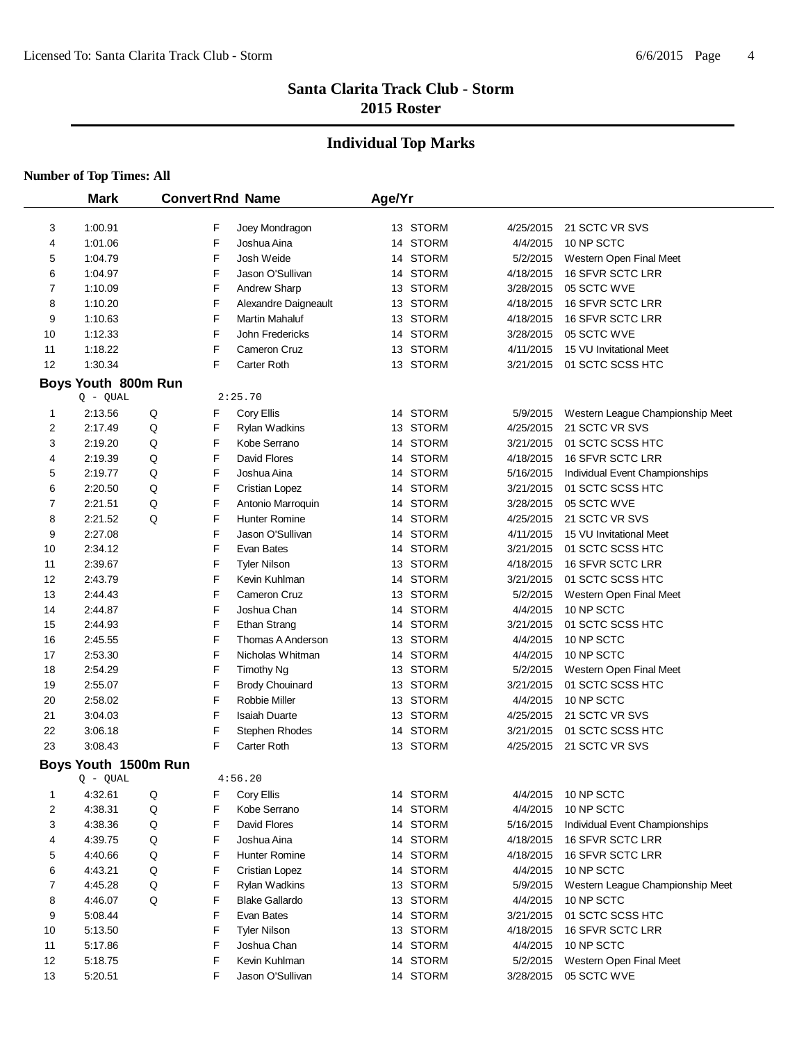# **Individual Top Marks**

|          | <b>Mark</b>           |   |        | <b>Convert Rnd Name</b>               | Age/Yr |                      |                      |                                  |
|----------|-----------------------|---|--------|---------------------------------------|--------|----------------------|----------------------|----------------------------------|
|          |                       |   |        |                                       |        |                      |                      |                                  |
| 3        | 1:00.91               |   | F      | Joey Mondragon                        |        | 13 STORM             | 4/25/2015            | 21 SCTC VR SVS                   |
| 4        | 1:01.06               |   | F      | Joshua Aina                           |        | 14 STORM             | 4/4/2015             | 10 NP SCTC                       |
| 5        | 1:04.79               |   | F      | Josh Weide                            |        | 14 STORM             | 5/2/2015             | Western Open Final Meet          |
| 6        | 1:04.97               |   | F      | Jason O'Sullivan                      |        | 14 STORM             | 4/18/2015            | 16 SFVR SCTC LRR                 |
| 7        | 1:10.09               |   | F      | Andrew Sharp                          |        | 13 STORM             | 3/28/2015            | 05 SCTC WVE                      |
| 8        | 1:10.20               |   | F      | Alexandre Daigneault                  |        | 13 STORM             | 4/18/2015            | 16 SFVR SCTC LRR                 |
| 9        | 1:10.63               |   | F      | Martin Mahaluf                        |        | 13 STORM             | 4/18/2015            | 16 SFVR SCTC LRR                 |
| 10       | 1:12.33               |   | F      | John Fredericks                       |        | 14 STORM             | 3/28/2015            | 05 SCTC WVE                      |
| 11       | 1:18.22               |   | F      | Cameron Cruz                          |        | 13 STORM             | 4/11/2015            | 15 VU Invitational Meet          |
| 12       | 1:30.34               |   | F      | Carter Roth                           |        | 13 STORM             | 3/21/2015            | 01 SCTC SCSS HTC                 |
|          | Boys Youth 800m Run   |   |        |                                       |        |                      |                      |                                  |
|          | $Q - QUAL$            |   |        | 2:25.70                               |        |                      |                      |                                  |
| 1        | 2:13.56               | Q | F      | Cory Ellis                            |        | 14 STORM             | 5/9/2015             | Western League Championship Meet |
| 2        | 2:17.49               | Q | F      | Rylan Wadkins                         |        | 13 STORM             | 4/25/2015            | 21 SCTC VR SVS                   |
| 3        | 2:19.20               | Q | F      | Kobe Serrano                          |        | 14 STORM             | 3/21/2015            | 01 SCTC SCSS HTC                 |
| 4        | 2:19.39               | Q | F      | David Flores                          |        | 14 STORM             | 4/18/2015            | 16 SFVR SCTC LRR                 |
| 5        | 2:19.77               | Q | F      | Joshua Aina                           |        | 14 STORM             | 5/16/2015            | Individual Event Championships   |
| 6        | 2:20.50               | Q | F      | <b>Cristian Lopez</b>                 |        | 14 STORM             | 3/21/2015            | 01 SCTC SCSS HTC                 |
| 7        | 2:21.51               | Q | F      | Antonio Marroquin                     |        | 14 STORM             | 3/28/2015            | 05 SCTC WVE                      |
| 8        | 2:21.52               | Q | F      | Hunter Romine                         |        | 14 STORM             | 4/25/2015            | 21 SCTC VR SVS                   |
| 9        | 2:27.08               |   | F      | Jason O'Sullivan                      |        | 14 STORM             | 4/11/2015            | 15 VU Invitational Meet          |
| 10       | 2:34.12               |   | F      | Evan Bates                            |        | 14 STORM             | 3/21/2015            | 01 SCTC SCSS HTC                 |
| 11       | 2:39.67               |   | F      | <b>Tyler Nilson</b>                   |        | 13 STORM             | 4/18/2015            | 16 SFVR SCTC LRR                 |
| 12       | 2:43.79               |   | F      | Kevin Kuhlman                         |        | 14 STORM             | 3/21/2015            | 01 SCTC SCSS HTC                 |
| 13       | 2:44.43               |   | F      | Cameron Cruz                          |        | 13 STORM             | 5/2/2015             | Western Open Final Meet          |
| 14       | 2:44.87               |   | F      | Joshua Chan                           |        | 14 STORM             | 4/4/2015             | 10 NP SCTC                       |
| 15       | 2:44.93               |   | F      | Ethan Strang                          |        | 14 STORM             | 3/21/2015            | 01 SCTC SCSS HTC                 |
| 16       | 2:45.55<br>2:53.30    |   | F<br>F | Thomas A Anderson<br>Nicholas Whitman |        | 13 STORM<br>14 STORM | 4/4/2015<br>4/4/2015 | 10 NP SCTC<br>10 NP SCTC         |
| 17<br>18 | 2:54.29               |   | F      | <b>Timothy Ng</b>                     |        | 13 STORM             | 5/2/2015             | Western Open Final Meet          |
| 19       | 2:55.07               |   | F      | <b>Brody Chouinard</b>                |        | 13 STORM             | 3/21/2015            | 01 SCTC SCSS HTC                 |
| 20       | 2:58.02               |   | F      | Robbie Miller                         |        | 13 STORM             | 4/4/2015             | 10 NP SCTC                       |
| 21       | 3:04.03               |   | F      | <b>Isaiah Duarte</b>                  |        | 13 STORM             | 4/25/2015            | 21 SCTC VR SVS                   |
| 22       | 3:06.18               |   | F      | Stephen Rhodes                        |        | 14 STORM             | 3/21/2015            | 01 SCTC SCSS HTC                 |
| 23       | 3:08.43               |   | F      | Carter Roth                           |        | 13 STORM             | 4/25/2015            | 21 SCTC VR SVS                   |
|          |                       |   |        |                                       |        |                      |                      |                                  |
|          | Boys Youth 1500m Run  |   |        | 4:56.20                               |        |                      |                      |                                  |
| 1        | $Q - QUAL$<br>4:32.61 | Q | F      | Cory Ellis                            |        | 14 STORM             | 4/4/2015             | 10 NP SCTC                       |
| 2        | 4:38.31               | Q | F      | Kobe Serrano                          |        | 14 STORM             | 4/4/2015             | 10 NP SCTC                       |
| 3        | 4:38.36               | Q | F      | David Flores                          |        | 14 STORM             | 5/16/2015            | Individual Event Championships   |
| 4        | 4:39.75               | Q | F      | Joshua Aina                           |        | 14 STORM             | 4/18/2015            | 16 SFVR SCTC LRR                 |
| 5        | 4:40.66               | Q | F      | <b>Hunter Romine</b>                  |        | 14 STORM             | 4/18/2015            | 16 SFVR SCTC LRR                 |
| 6        | 4:43.21               | Q | F      | <b>Cristian Lopez</b>                 |        | 14 STORM             | 4/4/2015             | 10 NP SCTC                       |
| 7        | 4:45.28               | Q | F      | <b>Rylan Wadkins</b>                  |        | 13 STORM             | 5/9/2015             | Western League Championship Meet |
| 8        | 4:46.07               | Q | F      | <b>Blake Gallardo</b>                 |        | 13 STORM             | 4/4/2015             | 10 NP SCTC                       |
| 9        | 5:08.44               |   | F      | Evan Bates                            |        | 14 STORM             | 3/21/2015            | 01 SCTC SCSS HTC                 |
| 10       | 5:13.50               |   | F      | <b>Tyler Nilson</b>                   |        | 13 STORM             | 4/18/2015            | 16 SFVR SCTC LRR                 |
| 11       | 5:17.86               |   | F      | Joshua Chan                           |        | 14 STORM             | 4/4/2015             | 10 NP SCTC                       |
| 12       | 5:18.75               |   | F      | Kevin Kuhlman                         |        | 14 STORM             | 5/2/2015             | Western Open Final Meet          |
| 13       | 5:20.51               |   | F      | Jason O'Sullivan                      |        | 14 STORM             | 3/28/2015            | 05 SCTC WVE                      |
|          |                       |   |        |                                       |        |                      |                      |                                  |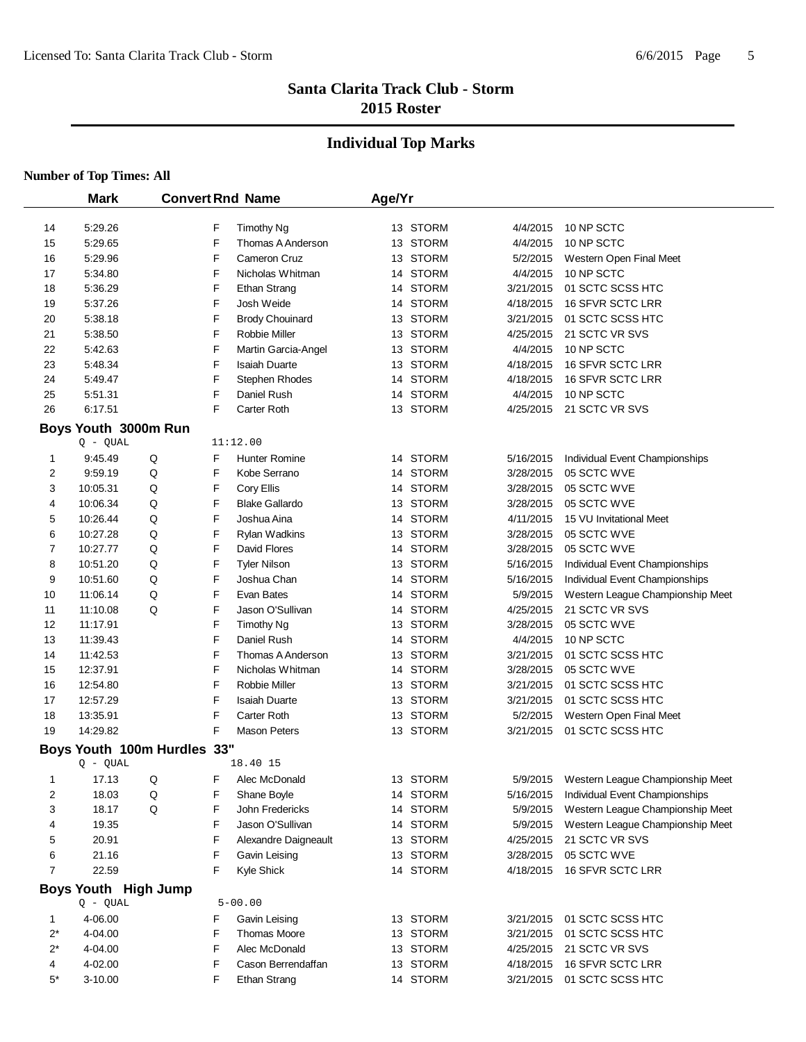# **Individual Top Marks**

|                | <b>Mark</b>                 | <b>Convert Rnd Name</b> |        |                                        | Age/Yr |                      |           |                                  |
|----------------|-----------------------------|-------------------------|--------|----------------------------------------|--------|----------------------|-----------|----------------------------------|
|                |                             |                         |        |                                        |        |                      |           |                                  |
| 14             | 5:29.26                     |                         | F<br>F | <b>Timothy Ng</b><br>Thomas A Anderson |        | 13 STORM             | 4/4/2015  | 10 NP SCTC                       |
| 15             | 5:29.65                     |                         |        |                                        |        | 13 STORM             | 4/4/2015  | 10 NP SCTC                       |
| 16             | 5:29.96                     |                         | F      | Cameron Cruz<br>Nicholas Whitman       |        | 13 STORM<br>14 STORM | 5/2/2015  | Western Open Final Meet          |
| 17             | 5:34.80                     |                         | F      |                                        |        |                      | 4/4/2015  | 10 NP SCTC                       |
| 18             | 5:36.29                     |                         | F      | Ethan Strang                           |        | 14 STORM             | 3/21/2015 | 01 SCTC SCSS HTC                 |
| 19             | 5:37.26                     |                         | F      | Josh Weide                             |        | 14 STORM             | 4/18/2015 | 16 SFVR SCTC LRR                 |
| 20             | 5:38.18                     |                         | F      | <b>Brody Chouinard</b>                 |        | 13 STORM             | 3/21/2015 | 01 SCTC SCSS HTC                 |
| 21             | 5:38.50                     |                         | F      | Robbie Miller                          |        | 13 STORM             | 4/25/2015 | 21 SCTC VR SVS                   |
| 22             | 5:42.63                     |                         | F      | Martin Garcia-Angel                    |        | 13 STORM             | 4/4/2015  | 10 NP SCTC                       |
| 23             | 5:48.34                     |                         | F      | <b>Isaiah Duarte</b>                   |        | 13 STORM             | 4/18/2015 | <b>16 SFVR SCTC LRR</b>          |
| 24             | 5:49.47                     |                         | F<br>F | Stephen Rhodes                         |        | 14 STORM             | 4/18/2015 | 16 SFVR SCTC LRR                 |
| 25             | 5:51.31                     |                         |        | Daniel Rush                            |        | 14 STORM             | 4/4/2015  | 10 NP SCTC                       |
| 26             | 6:17.51                     |                         | F      | Carter Roth                            |        | 13 STORM             |           | 4/25/2015 21 SCTC VR SVS         |
|                | Boys Youth 3000m Run        |                         |        |                                        |        |                      |           |                                  |
|                | $Q - QUAL$                  |                         |        | 11:12.00                               |        |                      |           |                                  |
| 1              | 9:45.49                     | Q                       | F      | <b>Hunter Romine</b>                   |        | 14 STORM             | 5/16/2015 | Individual Event Championships   |
| 2              | 9:59.19                     | Q                       | F      | Kobe Serrano                           |        | 14 STORM             | 3/28/2015 | 05 SCTC WVE                      |
| 3              | 10:05.31                    | Q                       | F      | Cory Ellis                             |        | 14 STORM             | 3/28/2015 | 05 SCTC WVE                      |
| 4              | 10:06.34                    | Q                       | F      | <b>Blake Gallardo</b>                  |        | 13 STORM             | 3/28/2015 | 05 SCTC WVE                      |
| 5              | 10:26.44                    | Q                       | F      | Joshua Aina                            |        | 14 STORM             | 4/11/2015 | 15 VU Invitational Meet          |
| 6              | 10:27.28                    | Q                       | F      | <b>Rylan Wadkins</b>                   |        | 13 STORM             | 3/28/2015 | 05 SCTC WVE                      |
| 7              | 10:27.77                    | Q                       | F      | David Flores                           |        | 14 STORM             | 3/28/2015 | 05 SCTC WVE                      |
| 8              | 10:51.20                    | Q                       | F      | <b>Tyler Nilson</b>                    |        | 13 STORM             | 5/16/2015 | Individual Event Championships   |
| 9              | 10:51.60                    | Q                       | F      | Joshua Chan                            |        | 14 STORM             | 5/16/2015 | Individual Event Championships   |
| 10             | 11:06.14                    | Q                       | F      | Evan Bates                             |        | 14 STORM             | 5/9/2015  | Western League Championship Meet |
| 11             | 11:10.08                    | Q                       | F      | Jason O'Sullivan                       |        | 14 STORM             | 4/25/2015 | 21 SCTC VR SVS                   |
| 12             | 11:17.91                    |                         | F      | <b>Timothy Ng</b>                      |        | 13 STORM             | 3/28/2015 | 05 SCTC WVE                      |
| 13             | 11:39.43                    |                         | F      | Daniel Rush                            |        | 14 STORM             | 4/4/2015  | 10 NP SCTC                       |
| 14             | 11:42.53                    |                         | F      | Thomas A Anderson                      |        | 13 STORM             | 3/21/2015 | 01 SCTC SCSS HTC                 |
| 15             | 12:37.91                    |                         | F      | Nicholas Whitman                       |        | 14 STORM             | 3/28/2015 | 05 SCTC WVE                      |
| 16             | 12:54.80                    |                         | F      | Robbie Miller                          |        | 13 STORM             | 3/21/2015 | 01 SCTC SCSS HTC                 |
| 17             | 12:57.29                    |                         | F      | <b>Isaiah Duarte</b>                   |        | 13 STORM             | 3/21/2015 | 01 SCTC SCSS HTC                 |
| 18             | 13:35.91                    |                         | F      | Carter Roth                            |        | 13 STORM             | 5/2/2015  | Western Open Final Meet          |
| 19             | 14:29.82                    |                         | F      | <b>Mason Peters</b>                    |        | 13 STORM             | 3/21/2015 | 01 SCTC SCSS HTC                 |
|                | Boys Youth 100m Hurdles 33" |                         |        |                                        |        |                      |           |                                  |
|                | $Q - QUAL$                  |                         |        | 18.40 15                               |        |                      |           |                                  |
| 1              | 17.13                       | Q                       | F      | Alec McDonald                          |        | 13 STORM             | 5/9/2015  | Western League Championship Meet |
| 2              | 18.03                       | Q                       | F      | Shane Boyle                            |        | 14 STORM             | 5/16/2015 | Individual Event Championships   |
| 3              | 18.17                       | Q                       | F      | John Fredericks                        |        | 14 STORM             | 5/9/2015  | Western League Championship Meet |
| 4              | 19.35                       |                         | F      | Jason O'Sullivan                       |        | 14 STORM             | 5/9/2015  | Western League Championship Meet |
| 5              | 20.91                       |                         | F      | Alexandre Daigneault                   |        | 13 STORM             | 4/25/2015 | 21 SCTC VR SVS                   |
| 6              | 21.16                       |                         | F      | Gavin Leising                          |        | 13 STORM             | 3/28/2015 | 05 SCTC WVE                      |
| $\overline{7}$ | 22.59                       |                         | F      | Kyle Shick                             |        | 14 STORM             | 4/18/2015 | 16 SFVR SCTC LRR                 |
|                | Boys Youth High Jump        |                         |        |                                        |        |                      |           |                                  |
|                | $Q - QUAL$                  |                         |        | $5 - 00.00$                            |        |                      |           |                                  |
| 1              | 4-06.00                     |                         | F      | Gavin Leising                          |        | 13 STORM             | 3/21/2015 | 01 SCTC SCSS HTC                 |
| $2^*$          | 4-04.00                     |                         | F      | Thomas Moore                           |        | 13 STORM             | 3/21/2015 | 01 SCTC SCSS HTC                 |
| 2*             | 4-04.00                     |                         | F      | Alec McDonald                          |        | 13 STORM             | 4/25/2015 | 21 SCTC VR SVS                   |
| 4              | 4-02.00                     |                         | F      | Cason Berrendaffan                     |        | 13 STORM             | 4/18/2015 | 16 SFVR SCTC LRR                 |
| 5*             | 3-10.00                     |                         | F      | Ethan Strang                           |        | 14 STORM             | 3/21/2015 | 01 SCTC SCSS HTC                 |